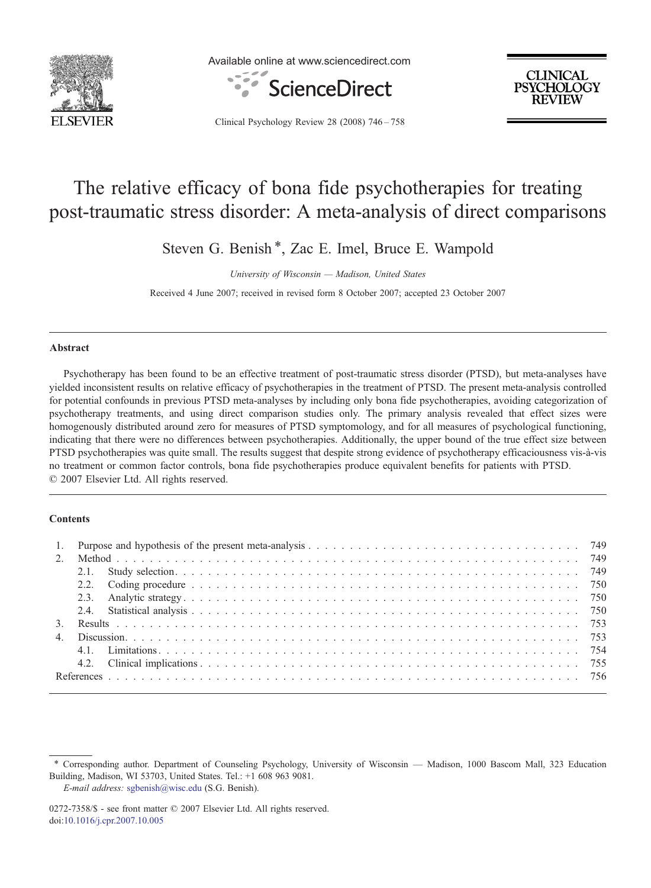

Available online at www.sciencedirect.com





Clinical Psychology Review 28 (2008) 746–758

# The relative efficacy of bona fide psychotherapies for treating post-traumatic stress disorder: A meta-analysis of direct comparisons

Steven G. Benish<sup>\*</sup>, Zac E. Imel, Bruce E. Wampold

University of Wisconsin — Madison, United States

Received 4 June 2007; received in revised form 8 October 2007; accepted 23 October 2007

## **Abstract**

Psychotherapy has been found to be an effective treatment of post-traumatic stress disorder (PTSD), but meta-analyses have yielded inconsistent results on relative efficacy of psychotherapies in the treatment of PTSD. The present meta-analysis controlled for potential confounds in previous PTSD meta-analyses by including only bona fide psychotherapies, avoiding categorization of psychotherapy treatments, and using direct comparison studies only. The primary analysis revealed that effect sizes were homogenously distributed around zero for measures of PTSD symptomology, and for all measures of psychological functioning, indicating that there were no differences between psychotherapies. Additionally, the upper bound of the true effect size between PTSD psychotherapies was quite small. The results suggest that despite strong evidence of psychotherapy efficaciousness vis-à-vis no treatment or common factor controls, bona fide psychotherapies produce equivalent benefits for patients with PTSD. © 2007 Elsevier Ltd. All rights reserved.

# **Contents**

<sup>⁎</sup> Corresponding author. Department of Counseling Psychology, University of Wisconsin — Madison, 1000 Bascom Mall, 323 Education Building, Madison, WI 53703, United States. Tel.: +1 608 963 9081.

E-mail address: [sgbenish@wisc.edu](mailto:sgbenish@wisc.edu) (S.G. Benish).

<sup>0272-7358/\$ -</sup> see front matter © 2007 Elsevier Ltd. All rights reserved. doi[:10.1016/j.cpr.2007.10.005](http://dx.doi.org/10.1016/j.cpr.2007.10.005)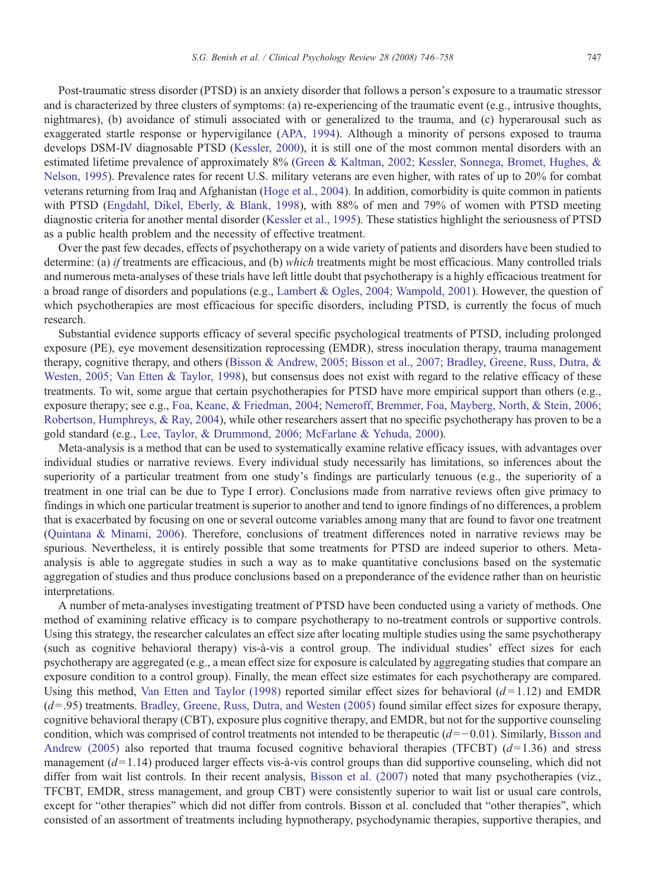Post-traumatic stress disorder (PTSD) is an anxiety disorder that follows a person's exposure to a traumatic stressor and is characterized by three clusters of symptoms: (a) re-experiencing of the traumatic event (e.g., intrusive thoughts, nightmares), (b) avoidance of stimuli associated with or generalized to the trauma, and (c) hyperarousal such as exaggerated startle response or hypervigilance ([APA, 1994\)](#page-10-0). Although a minority of persons exposed to trauma develops DSM-IV diagnosable PTSD ([Kessler, 2000\)](#page-11-0), it is still one of the most common mental disorders with an estimated lifetime prevalence of approximately 8% [\(Green & Kaltman, 2002; Kessler, Sonnega, Bromet, Hughes, &](#page-10-0) [Nelson, 1995](#page-10-0)). Prevalence rates for recent U.S. military veterans are even higher, with rates of up to 20% for combat veterans returning from Iraq and Afghanistan ([Hoge et al., 2004](#page-11-0)). In addition, comorbidity is quite common in patients with PTSD ([Engdahl, Dikel, Eberly, & Blank, 1998\)](#page-10-0), with 88% of men and 79% of women with PTSD meeting diagnostic criteria for another mental disorder ([Kessler et al., 1995](#page-11-0)). These statistics highlight the seriousness of PTSD as a public health problem and the necessity of effective treatment.

Over the past few decades, effects of psychotherapy on a wide variety of patients and disorders have been studied to determine: (a) *if* treatments are efficacious, and (b) *which* treatments might be most efficacious. Many controlled trials and numerous meta-analyses of these trials have left little doubt that psychotherapy is a highly efficacious treatment for a broad range of disorders and populations (e.g., [Lambert & Ogles, 2004; Wampold, 2001\)](#page-11-0). However, the question of which psychotherapies are most efficacious for specific disorders, including PTSD, is currently the focus of much research.

Substantial evidence supports efficacy of several specific psychological treatments of PTSD, including prolonged exposure (PE), eye movement desensitization reprocessing (EMDR), stress inoculation therapy, trauma management therapy, cognitive therapy, and others ([Bisson & Andrew, 2005; Bisson et al., 2007; Bradley, Greene, Russ, Dutra, &](#page-10-0) [Westen, 2005; Van Etten & Taylor, 1998\)](#page-10-0), but consensus does not exist with regard to the relative efficacy of these treatments. To wit, some argue that certain psychotherapies for PTSD have more empirical support than others (e.g., exposure therapy; see e.g., [Foa, Keane, & Friedman, 2004;](#page-10-0) [Nemeroff, Bremmer, Foa, Mayberg, North, & Stein, 2006](#page-11-0); [Robertson, Humphreys, & Ray, 2004\)](#page-11-0), while other researchers assert that no specific psychotherapy has proven to be a gold standard (e.g., [Lee, Taylor, & Drummond, 2006; McFarlane & Yehuda, 2000\)](#page-11-0).

Meta-analysis is a method that can be used to systematically examine relative efficacy issues, with advantages over individual studies or narrative reviews. Every individual study necessarily has limitations, so inferences about the superiority of a particular treatment from one study's findings are particularly tenuous (e.g., the superiority of a treatment in one trial can be due to Type I error). Conclusions made from narrative reviews often give primacy to findings in which one particular treatment is superior to another and tend to ignore findings of no differences, a problem that is exacerbated by focusing on one or several outcome variables among many that are found to favor one treatment [\(Quintana & Minami, 2006\)](#page-11-0). Therefore, conclusions of treatment differences noted in narrative reviews may be spurious. Nevertheless, it is entirely possible that some treatments for PTSD are indeed superior to others. Metaanalysis is able to aggregate studies in such a way as to make quantitative conclusions based on the systematic aggregation of studies and thus produce conclusions based on a preponderance of the evidence rather than on heuristic interpretations.

A number of meta-analyses investigating treatment of PTSD have been conducted using a variety of methods. One method of examining relative efficacy is to compare psychotherapy to no-treatment controls or supportive controls. Using this strategy, the researcher calculates an effect size after locating multiple studies using the same psychotherapy (such as cognitive behavioral therapy) vis-à-vis a control group. The individual studies' effect sizes for each psychotherapy are aggregated (e.g., a mean effect size for exposure is calculated by aggregating studies that compare an exposure condition to a control group). Finally, the mean effect size estimates for each psychotherapy are compared. Using this method, [Van Etten and Taylor \(1998\)](#page-12-0) reported similar effect sizes for behavioral  $(d=1.12)$  and EMDR  $(d=0.95)$  treatments. [Bradley, Greene, Russ, Dutra, and Westen \(2005\)](#page-10-0) found similar effect sizes for exposure therapy, cognitive behavioral therapy (CBT), exposure plus cognitive therapy, and EMDR, but not for the supportive counseling condition, which was comprised of control treatments not intended to be therapeutic  $(d=-0.01)$ . Similarly, [Bisson and](#page-10-0) [Andrew \(2005\)](#page-10-0) also reported that trauma focused cognitive behavioral therapies (TFCBT)  $(d=1.36)$  and stress management  $(d= 1.14)$  produced larger effects vis-à-vis control groups than did supportive counseling, which did not differ from wait list controls. In their recent analysis, [Bisson et al. \(2007\)](#page-10-0) noted that many psychotherapies (viz., TFCBT, EMDR, stress management, and group CBT) were consistently superior to wait list or usual care controls, except for "other therapies" which did not differ from controls. Bisson et al. concluded that "other therapies", which consisted of an assortment of treatments including hypnotherapy, psychodynamic therapies, supportive therapies, and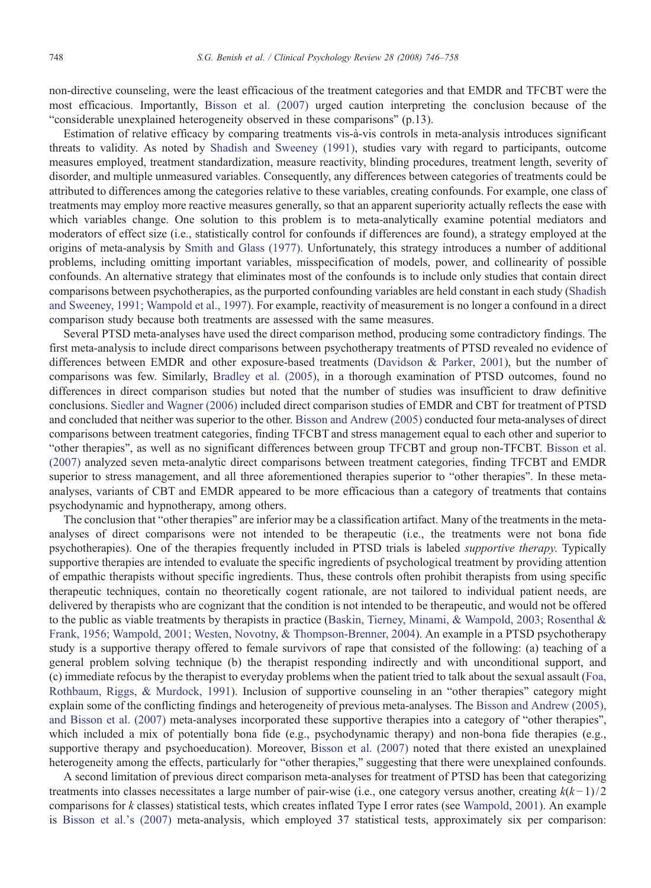non-directive counseling, were the least efficacious of the treatment categories and that EMDR and TFCBT were the most efficacious. Importantly, [Bisson et al. \(2007\)](#page-10-0) urged caution interpreting the conclusion because of the "considerable unexplained heterogeneity observed in these comparisons" (p.13).

Estimation of relative efficacy by comparing treatments vis-à-vis controls in meta-analysis introduces significant threats to validity. As noted by [Shadish and Sweeney \(1991\),](#page-11-0) studies vary with regard to participants, outcome measures employed, treatment standardization, measure reactivity, blinding procedures, treatment length, severity of disorder, and multiple unmeasured variables. Consequently, any differences between categories of treatments could be attributed to differences among the categories relative to these variables, creating confounds. For example, one class of treatments may employ more reactive measures generally, so that an apparent superiority actually reflects the ease with which variables change. One solution to this problem is to meta-analytically examine potential mediators and moderators of effect size (i.e., statistically control for confounds if differences are found), a strategy employed at the origins of meta-analysis by [Smith and Glass \(1977\)](#page-12-0). Unfortunately, this strategy introduces a number of additional problems, including omitting important variables, misspecification of models, power, and collinearity of possible confounds. An alternative strategy that eliminates most of the confounds is to include only studies that contain direct comparisons between psychotherapies, as the purported confounding variables are held constant in each study ([Shadish](#page-11-0) [and Sweeney, 1991; Wampold et al., 1997\)](#page-11-0). For example, reactivity of measurement is no longer a confound in a direct comparison study because both treatments are assessed with the same measures.

Several PTSD meta-analyses have used the direct comparison method, producing some contradictory findings. The first meta-analysis to include direct comparisons between psychotherapy treatments of PTSD revealed no evidence of differences between EMDR and other exposure-based treatments ([Davidson & Parker, 2001\)](#page-10-0), but the number of comparisons was few. Similarly, [Bradley et al. \(2005\),](#page-10-0) in a thorough examination of PTSD outcomes, found no differences in direct comparison studies but noted that the number of studies was insufficient to draw definitive conclusions. [Siedler and Wagner \(2006\)](#page-12-0) included direct comparison studies of EMDR and CBT for treatment of PTSD and concluded that neither was superior to the other. [Bisson and Andrew \(2005\)](#page-10-0) conducted four meta-analyses of direct comparisons between treatment categories, finding TFCBT and stress management equal to each other and superior to "other therapies", as well as no significant differences between group TFCBT and group non-TFCBT. [Bisson et al.](#page-10-0) [\(2007\)](#page-10-0) analyzed seven meta-analytic direct comparisons between treatment categories, finding TFCBT and EMDR superior to stress management, and all three aforementioned therapies superior to "other therapies". In these metaanalyses, variants of CBT and EMDR appeared to be more efficacious than a category of treatments that contains psychodynamic and hypnotherapy, among others.

The conclusion that "other therapies" are inferior may be a classification artifact. Many of the treatments in the metaanalyses of direct comparisons were not intended to be therapeutic (i.e., the treatments were not bona fide psychotherapies). One of the therapies frequently included in PTSD trials is labeled supportive therapy. Typically supportive therapies are intended to evaluate the specific ingredients of psychological treatment by providing attention of empathic therapists without specific ingredients. Thus, these controls often prohibit therapists from using specific therapeutic techniques, contain no theoretically cogent rationale, are not tailored to individual patient needs, are delivered by therapists who are cognizant that the condition is not intended to be therapeutic, and would not be offered to the public as viable treatments by therapists in practice ([Baskin, Tierney, Minami, & Wampold, 2003; Rosenthal &](#page-10-0) [Frank, 1956; Wampold, 2001; Westen, Novotny, & Thompson-Brenner, 2004\)](#page-10-0). An example in a PTSD psychotherapy study is a supportive therapy offered to female survivors of rape that consisted of the following: (a) teaching of a general problem solving technique (b) the therapist responding indirectly and with unconditional support, and (c) immediate refocus by the therapist to everyday problems when the patient tried to talk about the sexual assault [\(Foa,](#page-10-0) [Rothbaum, Riggs, & Murdock, 1991](#page-10-0)). Inclusion of supportive counseling in an "other therapies" category might explain some of the conflicting findings and heterogeneity of previous meta-analyses. The [Bisson and Andrew \(2005\),](#page-10-0) [and Bisson et al. \(2007\)](#page-10-0) meta-analyses incorporated these supportive therapies into a category of "other therapies", which included a mix of potentially bona fide (e.g., psychodynamic therapy) and non-bona fide therapies (e.g., supportive therapy and psychoeducation). Moreover, [Bisson et al. \(2007\)](#page-10-0) noted that there existed an unexplained heterogeneity among the effects, particularly for "other therapies," suggesting that there were unexplained confounds.

A second limitation of previous direct comparison meta-analyses for treatment of PTSD has been that categorizing treatments into classes necessitates a large number of pair-wise (i.e., one category versus another, creating  $k(k-1)/2$ comparisons for k classes) statistical tests, which creates inflated Type I error rates (see [Wampold, 2001\)](#page-12-0). An example is [Bisson et al.'s \(2007\)](#page-10-0) meta-analysis, which employed 37 statistical tests, approximately six per comparison: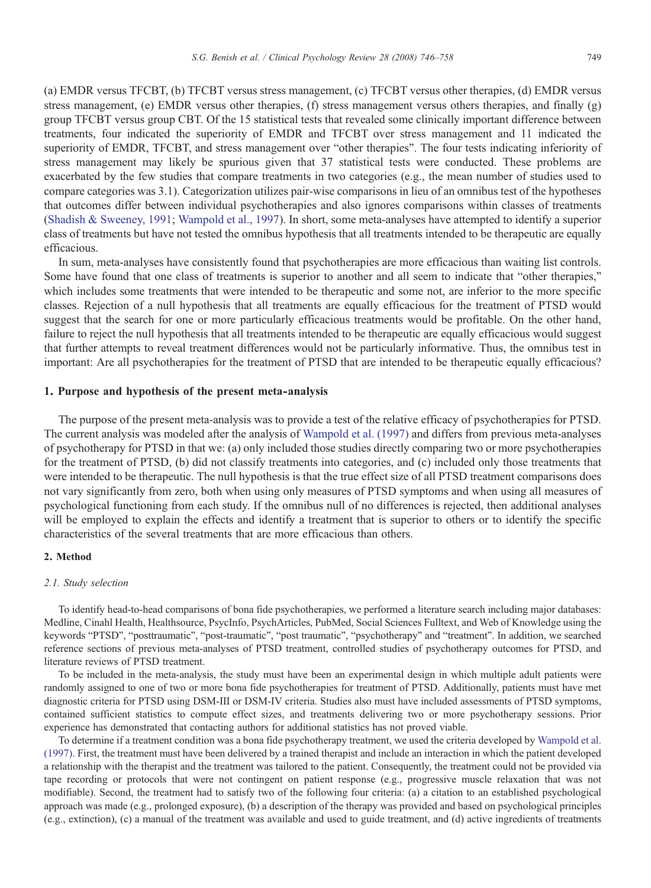(a) EMDR versus TFCBT, (b) TFCBT versus stress management, (c) TFCBT versus other therapies, (d) EMDR versus stress management, (e) EMDR versus other therapies, (f) stress management versus others therapies, and finally (g) group TFCBT versus group CBT. Of the 15 statistical tests that revealed some clinically important difference between treatments, four indicated the superiority of EMDR and TFCBT over stress management and 11 indicated the superiority of EMDR, TFCBT, and stress management over "other therapies". The four tests indicating inferiority of stress management may likely be spurious given that 37 statistical tests were conducted. These problems are exacerbated by the few studies that compare treatments in two categories (e.g., the mean number of studies used to compare categories was 3.1). Categorization utilizes pair-wise comparisons in lieu of an omnibus test of the hypotheses that outcomes differ between individual psychotherapies and also ignores comparisons within classes of treatments [\(Shadish & Sweeney, 1991;](#page-11-0) [Wampold et al., 1997\)](#page-12-0). In short, some meta-analyses have attempted to identify a superior class of treatments but have not tested the omnibus hypothesis that all treatments intended to be therapeutic are equally efficacious.

In sum, meta-analyses have consistently found that psychotherapies are more efficacious than waiting list controls. Some have found that one class of treatments is superior to another and all seem to indicate that "other therapies," which includes some treatments that were intended to be therapeutic and some not, are inferior to the more specific classes. Rejection of a null hypothesis that all treatments are equally efficacious for the treatment of PTSD would suggest that the search for one or more particularly efficacious treatments would be profitable. On the other hand, failure to reject the null hypothesis that all treatments intended to be therapeutic are equally efficacious would suggest that further attempts to reveal treatment differences would not be particularly informative. Thus, the omnibus test in important: Are all psychotherapies for the treatment of PTSD that are intended to be therapeutic equally efficacious?

# 1. Purpose and hypothesis of the present meta-analysis

The purpose of the present meta-analysis was to provide a test of the relative efficacy of psychotherapies for PTSD. The current analysis was modeled after the analysis of [Wampold et al. \(1997\)](#page-12-0) and differs from previous meta-analyses of psychotherapy for PTSD in that we: (a) only included those studies directly comparing two or more psychotherapies for the treatment of PTSD, (b) did not classify treatments into categories, and (c) included only those treatments that were intended to be therapeutic. The null hypothesis is that the true effect size of all PTSD treatment comparisons does not vary significantly from zero, both when using only measures of PTSD symptoms and when using all measures of psychological functioning from each study. If the omnibus null of no differences is rejected, then additional analyses will be employed to explain the effects and identify a treatment that is superior to others or to identify the specific characteristics of the several treatments that are more efficacious than others.

## 2. Method

## 2.1. Study selection

To identify head-to-head comparisons of bona fide psychotherapies, we performed a literature search including major databases: Medline, Cinahl Health, Healthsource, PsycInfo, PsychArticles, PubMed, Social Sciences Fulltext, and Web of Knowledge using the keywords "PTSD", "posttraumatic", "post-traumatic", "post traumatic", "psychotherapy" and "treatment". In addition, we searched reference sections of previous meta-analyses of PTSD treatment, controlled studies of psychotherapy outcomes for PTSD, and literature reviews of PTSD treatment.

To be included in the meta-analysis, the study must have been an experimental design in which multiple adult patients were randomly assigned to one of two or more bona fide psychotherapies for treatment of PTSD. Additionally, patients must have met diagnostic criteria for PTSD using DSM-III or DSM-IV criteria. Studies also must have included assessments of PTSD symptoms, contained sufficient statistics to compute effect sizes, and treatments delivering two or more psychotherapy sessions. Prior experience has demonstrated that contacting authors for additional statistics has not proved viable.

To determine if a treatment condition was a bona fide psychotherapy treatment, we used the criteria developed by [Wampold et al.](#page-12-0) [\(1997\).](#page-12-0) First, the treatment must have been delivered by a trained therapist and include an interaction in which the patient developed a relationship with the therapist and the treatment was tailored to the patient. Consequently, the treatment could not be provided via tape recording or protocols that were not contingent on patient response (e.g., progressive muscle relaxation that was not modifiable). Second, the treatment had to satisfy two of the following four criteria: (a) a citation to an established psychological approach was made (e.g., prolonged exposure), (b) a description of the therapy was provided and based on psychological principles (e.g., extinction), (c) a manual of the treatment was available and used to guide treatment, and (d) active ingredients of treatments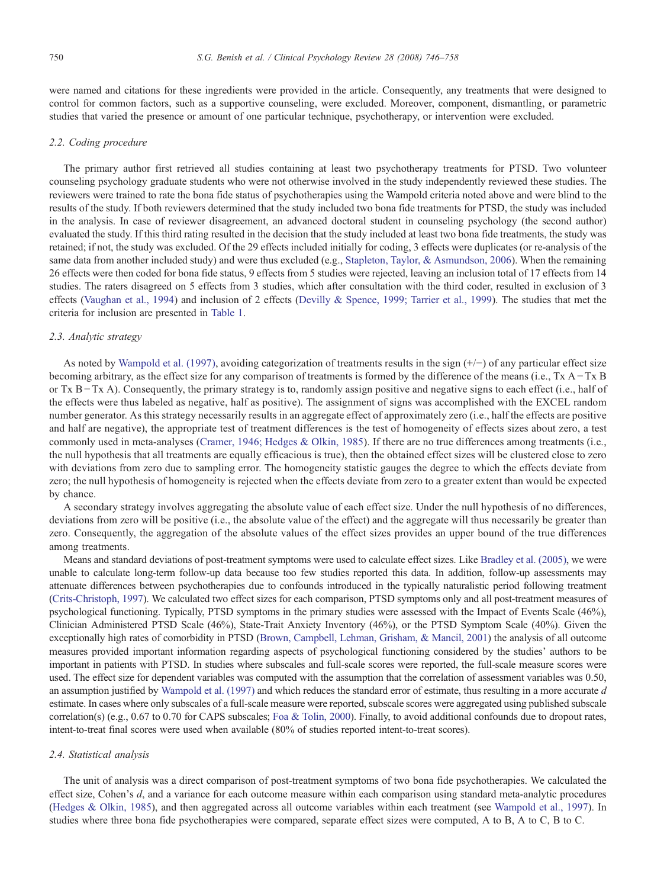were named and citations for these ingredients were provided in the article. Consequently, any treatments that were designed to control for common factors, such as a supportive counseling, were excluded. Moreover, component, dismantling, or parametric studies that varied the presence or amount of one particular technique, psychotherapy, or intervention were excluded.

#### 2.2. Coding procedure

The primary author first retrieved all studies containing at least two psychotherapy treatments for PTSD. Two volunteer counseling psychology graduate students who were not otherwise involved in the study independently reviewed these studies. The reviewers were trained to rate the bona fide status of psychotherapies using the Wampold criteria noted above and were blind to the results of the study. If both reviewers determined that the study included two bona fide treatments for PTSD, the study was included in the analysis. In case of reviewer disagreement, an advanced doctoral student in counseling psychology (the second author) evaluated the study. If this third rating resulted in the decision that the study included at least two bona fide treatments, the study was retained; if not, the study was excluded. Of the 29 effects included initially for coding, 3 effects were duplicates (or re-analysis of the same data from another included study) and were thus excluded (e.g., [Stapleton, Taylor, & Asmundson, 2006\)](#page-12-0). When the remaining 26 effects were then coded for bona fide status, 9 effects from 5 studies were rejected, leaving an inclusion total of 17 effects from 14 studies. The raters disagreed on 5 effects from 3 studies, which after consultation with the third coder, resulted in exclusion of 3 effects [\(Vaughan et al., 1994\)](#page-12-0) and inclusion of 2 effects [\(Devilly & Spence, 1999; Tarrier et al., 1999\)](#page-10-0). The studies that met the criteria for inclusion are presented in [Table 1](#page-5-0).

#### 2.3. Analytic strategy

As noted by [Wampold et al. \(1997\)](#page-12-0), avoiding categorization of treatments results in the sign (+/−) of any particular effect size becoming arbitrary, as the effect size for any comparison of treatments is formed by the difference of the means (i.e., Tx A−Tx B or Tx B−Tx A). Consequently, the primary strategy is to, randomly assign positive and negative signs to each effect (i.e., half of the effects were thus labeled as negative, half as positive). The assignment of signs was accomplished with the EXCEL random number generator. As this strategy necessarily results in an aggregate effect of approximately zero (i.e., half the effects are positive and half are negative), the appropriate test of treatment differences is the test of homogeneity of effects sizes about zero, a test commonly used in meta-analyses [\(Cramer, 1946; Hedges & Olkin, 1985](#page-10-0)). If there are no true differences among treatments (i.e., the null hypothesis that all treatments are equally efficacious is true), then the obtained effect sizes will be clustered close to zero with deviations from zero due to sampling error. The homogeneity statistic gauges the degree to which the effects deviate from zero; the null hypothesis of homogeneity is rejected when the effects deviate from zero to a greater extent than would be expected by chance.

A secondary strategy involves aggregating the absolute value of each effect size. Under the null hypothesis of no differences, deviations from zero will be positive (i.e., the absolute value of the effect) and the aggregate will thus necessarily be greater than zero. Consequently, the aggregation of the absolute values of the effect sizes provides an upper bound of the true differences among treatments.

Means and standard deviations of post-treatment symptoms were used to calculate effect sizes. Like [Bradley et al. \(2005\),](#page-10-0) we were unable to calculate long-term follow-up data because too few studies reported this data. In addition, follow-up assessments may attenuate differences between psychotherapies due to confounds introduced in the typically naturalistic period following treatment [\(Crits-Christoph, 1997\)](#page-10-0). We calculated two effect sizes for each comparison, PTSD symptoms only and all post-treatment measures of psychological functioning. Typically, PTSD symptoms in the primary studies were assessed with the Impact of Events Scale (46%), Clinician Administered PTSD Scale (46%), State-Trait Anxiety Inventory (46%), or the PTSD Symptom Scale (40%). Given the exceptionally high rates of comorbidity in PTSD [\(Brown, Campbell, Lehman, Grisham, & Mancil, 2001](#page-10-0)) the analysis of all outcome measures provided important information regarding aspects of psychological functioning considered by the studies' authors to be important in patients with PTSD. In studies where subscales and full-scale scores were reported, the full-scale measure scores were used. The effect size for dependent variables was computed with the assumption that the correlation of assessment variables was 0.50, an assumption justified by Wampold et al.  $(1997)$  and which reduces the standard error of estimate, thus resulting in a more accurate  $d$ estimate. In cases where only subscales of a full-scale measure were reported, subscale scores were aggregated using published subscale correlation(s) (e.g., 0.67 to 0.70 for CAPS subscales; [Foa & Tolin, 2000](#page-10-0)). Finally, to avoid additional confounds due to dropout rates, intent-to-treat final scores were used when available (80% of studies reported intent-to-treat scores).

#### 2.4. Statistical analysis

The unit of analysis was a direct comparison of post-treatment symptoms of two bona fide psychotherapies. We calculated the effect size, Cohen's  $d$ , and a variance for each outcome measure within each comparison using standard meta-analytic procedures [\(Hedges & Olkin, 1985\)](#page-10-0), and then aggregated across all outcome variables within each treatment (see [Wampold et al., 1997\)](#page-12-0). In studies where three bona fide psychotherapies were compared, separate effect sizes were computed, A to B, A to C, B to C.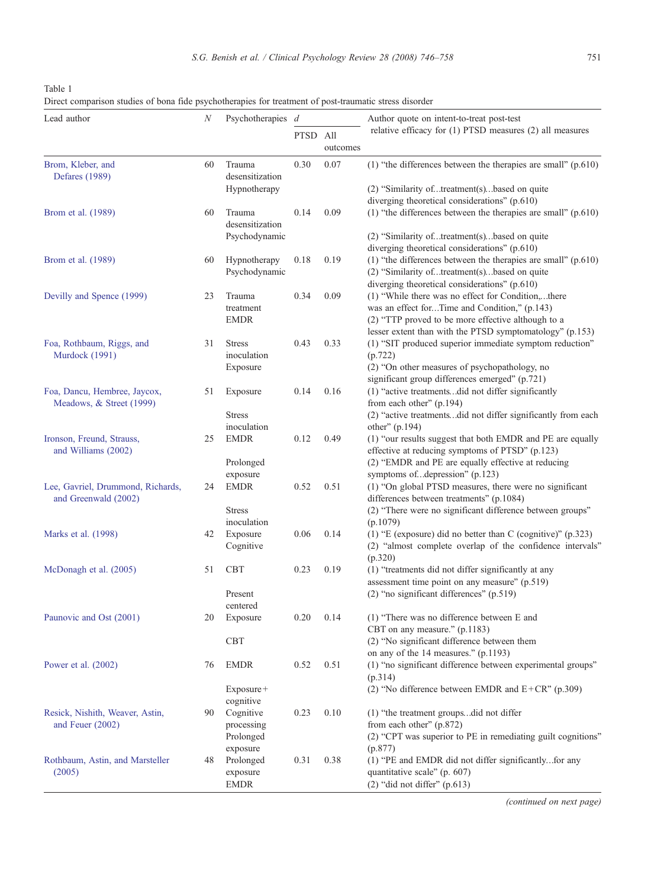<span id="page-5-0"></span>Table 1 Direct comparison studies of bona fide psychotherapies for treatment of post-traumatic stress disorder

| Lead author                                               | $\boldsymbol{N}$ | Psychotherapies d                    |          |          | Author quote on intent-to-treat post-test                                                                                                            |
|-----------------------------------------------------------|------------------|--------------------------------------|----------|----------|------------------------------------------------------------------------------------------------------------------------------------------------------|
|                                                           |                  |                                      | PTSD All | outcomes | relative efficacy for (1) PTSD measures (2) all measures                                                                                             |
| Brom, Kleber, and<br><b>Defares</b> (1989)                | 60               | 0.30<br>Trauma<br>desensitization    |          | 0.07     | (1) "the differences between the therapies are small" $(p.610)$<br>$(2)$ "Similarity oftreatment(s)based on quite                                    |
|                                                           |                  | Hypnotherapy                         |          |          | diverging theoretical considerations" (p.610)                                                                                                        |
| Brom et al. (1989)                                        | 60               | Trauma<br>desensitization            | 0.14     | 0.09     | (1) "the differences between the therapies are small" $(p.610)$                                                                                      |
|                                                           |                  | Psychodynamic                        |          |          | $(2)$ "Similarity oftreatment(s)based on quite<br>diverging theoretical considerations" (p.610)                                                      |
| Brom et al. (1989)                                        | 60               | Hypnotherapy<br>Psychodynamic        | 0.18     | 0.19     | (1) "the differences between the therapies are small" $(p.610)$<br>(2) "Similarity oftreatment(s)based on quite                                      |
| Devilly and Spence (1999)                                 | 23               | Trauma<br>treatment                  | 0.34     | 0.09     | diverging theoretical considerations" (p.610)<br>(1) "While there was no effect for Condition,there<br>was an effect forTime and Condition," (p.143) |
|                                                           |                  | <b>EMDR</b>                          |          |          | (2) "TTP proved to be more effective although to a<br>lesser extent than with the PTSD symptomatology" (p.153)                                       |
| Foa, Rothbaum, Riggs, and<br>Murdock (1991)               | 31               | <b>Stress</b><br>inoculation         | 0.43     | 0.33     | (1) "SIT produced superior immediate symptom reduction"<br>(p.722)                                                                                   |
|                                                           |                  | Exposure                             |          |          | (2) "On other measures of psychopathology, no<br>significant group differences emerged" (p.721)                                                      |
| Foa, Dancu, Hembree, Jaycox,<br>Meadows, & Street (1999)  | 51               | Exposure                             | 0.14     | 0.16     | (1) "active treatmentsdid not differ significantly<br>from each other" (p.194)                                                                       |
|                                                           |                  | <b>Stress</b><br>inoculation         |          |          | (2) "active treatmentsdid not differ significantly from each<br>other" (p.194)                                                                       |
| Ironson, Freund, Strauss,<br>and Williams (2002)          | 25               | <b>EMDR</b>                          | 0.12     | 0.49     | (1) "our results suggest that both EMDR and PE are equally<br>effective at reducing symptoms of PTSD" (p.123)                                        |
|                                                           |                  | Prolonged<br>exposure                |          |          | (2) "EMDR and PE are equally effective at reducing<br>symptoms ofdepression" (p.123)                                                                 |
| Lee, Gavriel, Drummond, Richards,<br>and Greenwald (2002) | 24               | <b>EMDR</b>                          | 0.52     | 0.51     | (1) "On global PTSD measures, there were no significant<br>differences between treatments" (p.1084)                                                  |
|                                                           |                  | <b>Stress</b><br>inoculation         |          |          | (2) "There were no significant difference between groups"<br>(p.1079)                                                                                |
| Marks et al. (1998)                                       | 42               | Exposure<br>Cognitive                | 0.06     | 0.14     | (1) "E (exposure) did no better than C (cognitive)" $(p.323)$<br>(2) "almost complete overlap of the confidence intervals"<br>(p.320)                |
| McDonagh et al. (2005)                                    | 51               | <b>CBT</b>                           | 0.23     | 0.19     | (1) "treatments did not differ significantly at any                                                                                                  |
|                                                           |                  | Present<br>centered                  |          |          | assessment time point on any measure" (p.519)<br>(2) "no significant differences" (p.519)                                                            |
| Paunovic and Ost (2001)                                   | 20               | Exposure                             | 0.20     | 0.14     | (1) "There was no difference between E and<br>CBT on any measure." (p.1183)                                                                          |
|                                                           |                  | <b>CBT</b>                           |          |          | (2) "No significant difference between them<br>on any of the 14 measures." (p.1193)                                                                  |
| Power et al. (2002)                                       | 76               | <b>EMDR</b>                          | 0.52     | 0.51     | (1) "no significant difference between experimental groups"                                                                                          |
|                                                           |                  | $Exposure+$<br>cognitive             |          |          | (p.314)<br>(2) "No difference between EMDR and $E+CR$ " (p.309)                                                                                      |
| Resick, Nishith, Weaver, Astin,                           | 90               | Cognitive                            | 0.23     | 0.10     | (1) "the treatment groupsdid not differ                                                                                                              |
| and Feuer (2002)                                          |                  | processing<br>Prolonged<br>exposure  |          |          | from each other" (p.872)<br>(2) "CPT was superior to PE in remediating guilt cognitions"<br>(p.877)                                                  |
| Rothbaum, Astin, and Marsteller<br>(2005)                 | 48               | Prolonged<br>exposure<br><b>EMDR</b> | 0.31     | 0.38     | (1) "PE and EMDR did not differ significantlyfor any<br>quantitative scale" (p. 607)<br>$(2)$ "did not differ" $(p.613)$                             |

(continued on next page)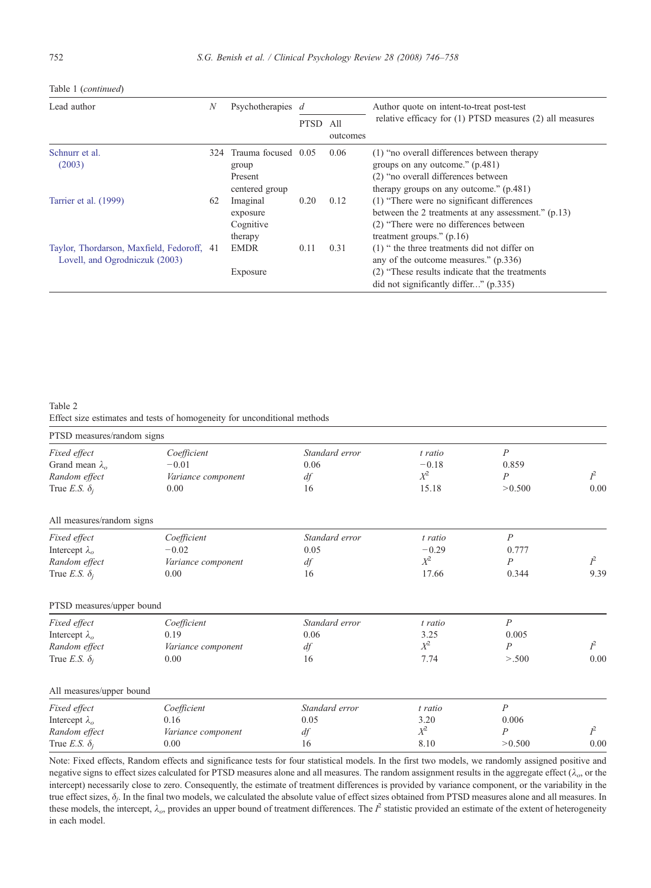# <span id="page-6-0"></span>Table 1 (continued)

| Lead author                                |     | Psychotherapies d   |          |          | Author quote on intent-to-treat post-test                |
|--------------------------------------------|-----|---------------------|----------|----------|----------------------------------------------------------|
|                                            |     |                     | PTSD All |          | relative efficacy for (1) PTSD measures (2) all measures |
|                                            |     |                     |          | outcomes |                                                          |
| Schnurr et al.                             | 324 | Trauma focused 0.05 |          | 0.06     | (1) "no overall differences between therapy              |
| (2003)                                     |     | group               |          |          | groups on any outcome." (p.481)                          |
|                                            |     | Present             |          |          | (2) "no overall differences between                      |
|                                            |     | centered group      |          |          | therapy groups on any outcome." (p.481)                  |
| Tarrier et al. (1999)                      | 62  | Imaginal            | 0.20     | 0.12     | (1) "There were no significant differences               |
|                                            |     | exposure            |          |          | between the 2 treatments at any assessment." (p.13)      |
|                                            |     | Cognitive           |          |          | (2) "There were no differences between                   |
|                                            |     | therapy             |          |          | treatment groups." $(p.16)$                              |
| Taylor, Thordarson, Maxfield, Fedoroff, 41 |     | <b>EMDR</b>         | 0.11     | 0.31     | $(1)$ " the three treatments did not differ on           |
| Lovell, and Ogrodniczuk (2003)             |     |                     |          |          | any of the outcome measures." (p.336)                    |
|                                            |     | Exposure            |          |          | (2) "These results indicate that the treatments          |
|                                            |     |                     |          |          | did not significantly differ" (p.335)                    |

Table 2 Effect size estimates and tests of homogeneity for unconditional methods

| PTSD measures/random signs                                                                   |                                                      |                                    |                                      |                                                        |                       |
|----------------------------------------------------------------------------------------------|------------------------------------------------------|------------------------------------|--------------------------------------|--------------------------------------------------------|-----------------------|
| Fixed effect<br>Grand mean $\lambda_o$<br>Random effect<br>True <i>E.S.</i> $\delta_i$       | Coefficient<br>$-0.01$<br>Variance component<br>0.00 | Standard error<br>0.06<br>df<br>16 | t ratio<br>$-0.18$<br>$X^2$<br>15.18 | $\boldsymbol{P}$<br>0.859<br>$\overline{P}$<br>> 0.500 | $I^2$<br>0.00         |
| All measures/random signs                                                                    |                                                      |                                    |                                      |                                                        |                       |
| Fixed effect<br>Intercept $\lambda_o$<br>Random effect<br>True <i>E.S.</i> $\delta_i$        | Coefficient<br>$-0.02$<br>Variance component<br>0.00 | Standard error<br>0.05<br>df<br>16 | t ratio<br>$-0.29$<br>$X^2$<br>17.66 | $\overline{P}$<br>0.777<br>$\overline{P}$<br>0.344     | $I^2$<br>9.39         |
| PTSD measures/upper bound                                                                    |                                                      |                                    |                                      |                                                        |                       |
| Fixed effect<br>Intercept $\lambda_{\alpha}$<br>Random effect<br>True <i>E.S.</i> $\delta_i$ | Coefficient<br>0.19<br>Variance component<br>0.00    | Standard error<br>0.06<br>df<br>16 | t ratio<br>3.25<br>$X^2$<br>7.74     | $\boldsymbol{P}$<br>0.005<br>$\overline{P}$<br>> 0.500 | $I^2$<br>0.00         |
| All measures/upper bound                                                                     |                                                      |                                    |                                      |                                                        |                       |
| Fixed effect<br>Intercept $\lambda_{\alpha}$<br>Random effect<br>True <i>E.S.</i> $\delta_i$ | Coefficient<br>0.16<br>Variance component<br>0.00    | Standard error<br>0.05<br>df<br>16 | t ratio<br>3.20<br>$X^2$<br>8.10     | $\overline{P}$<br>0.006<br>$\overline{P}$<br>> 0.500   | $\tilde{I}^2$<br>0.00 |

Note: Fixed effects, Random effects and significance tests for four statistical models. In the first two models, we randomly assigned positive and negative signs to effect sizes calculated for PTSD measures alone and all measures. The random assignment results in the aggregate effect ( $\lambda_o$ , or the intercept) necessarily close to zero. Consequently, the estimate of treatment differences is provided by variance component, or the variability in the true effect sizes,  $\delta_j$ . In the final two models, we calculated the absolute value of effect sizes obtained from PTSD measures alone and all measures. In these models, the intercept,  $\lambda_o$ , provides an upper bound of treatment differences. The  $I^2$  statistic provided an estimate of the extent of heterogeneity in each model.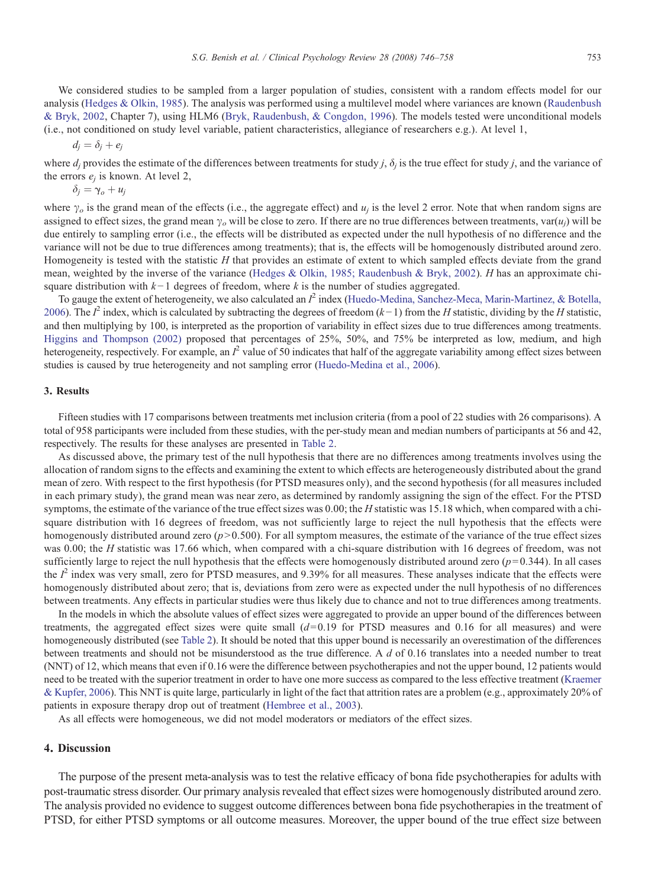We considered studies to be sampled from a larger population of studies, consistent with a random effects model for our analysis [\(Hedges & Olkin, 1985\)](#page-10-0). The analysis was performed using a multilevel model where variances are known [\(Raudenbush](#page-11-0) [& Bryk, 2002,](#page-11-0) Chapter 7), using HLM6 ([Bryk, Raudenbush, & Congdon, 1996\)](#page-10-0). The models tested were unconditional models (i.e., not conditioned on study level variable, patient characteristics, allegiance of researchers e.g.). At level 1,

$$
d_j = \delta_j + e_j
$$

where  $d_i$  provides the estimate of the differences between treatments for study j,  $\delta_i$  is the true effect for study j, and the variance of the errors  $e_i$  is known. At level 2,

 $\delta_i = \gamma_o + u_j$ 

where  $\gamma_o$  is the grand mean of the effects (i.e., the aggregate effect) and  $u_i$  is the level 2 error. Note that when random signs are assigned to effect sizes, the grand mean  $\gamma_o$  will be close to zero. If there are no true differences between treatments, var $(u_i)$  will be due entirely to sampling error (i.e., the effects will be distributed as expected under the null hypothesis of no difference and the variance will not be due to true differences among treatments); that is, the effects will be homogenously distributed around zero. Homogeneity is tested with the statistic H that provides an estimate of extent to which sampled effects deviate from the grand mean, weighted by the inverse of the variance [\(Hedges & Olkin, 1985; Raudenbush & Bryk, 2002](#page-10-0)). H has an approximate chisquare distribution with  $k-1$  degrees of freedom, where k is the number of studies aggregated.

To gauge the extent of heterogeneity, we also calculated an  $I^2$  index [\(Huedo-Medina, Sanchez-Meca, Marin-Martinez, & Botella,](#page-11-0) [2006\)](#page-11-0). The  $I^2$  index, which is calculated by subtracting the degrees of freedom  $(k-1)$  from the H statistic, dividing by the H statistic, and then multiplying by 100, is interpreted as the proportion of variability in effect sizes due to true differences among treatments. [Higgins and Thompson \(2002\)](#page-11-0) proposed that percentages of 25%, 50%, and 75% be interpreted as low, medium, and high heterogeneity, respectively. For example, an  $l^2$  value of 50 indicates that half of the aggregate variability among effect sizes between studies is caused by true heterogeneity and not sampling error [\(Huedo-Medina et al., 2006](#page-11-0)).

# 3. Results

Fifteen studies with 17 comparisons between treatments met inclusion criteria (from a pool of 22 studies with 26 comparisons). A total of 958 participants were included from these studies, with the per-study mean and median numbers of participants at 56 and 42, respectively. The results for these analyses are presented in [Table 2](#page-6-0).

As discussed above, the primary test of the null hypothesis that there are no differences among treatments involves using the allocation of random signs to the effects and examining the extent to which effects are heterogeneously distributed about the grand mean of zero. With respect to the first hypothesis (for PTSD measures only), and the second hypothesis (for all measures included in each primary study), the grand mean was near zero, as determined by randomly assigning the sign of the effect. For the PTSD symptoms, the estimate of the variance of the true effect sizes was 0.00; the H statistic was 15.18 which, when compared with a chisquare distribution with 16 degrees of freedom, was not sufficiently large to reject the null hypothesis that the effects were homogenously distributed around zero ( $p>0.500$ ). For all symptom measures, the estimate of the variance of the true effect sizes was 0.00; the H statistic was 17.66 which, when compared with a chi-square distribution with 16 degrees of freedom, was not sufficiently large to reject the null hypothesis that the effects were homogenously distributed around zero  $(p=0.344)$ . In all cases the  $I^2$  index was very small, zero for PTSD measures, and 9.39% for all measures. These analyses indicate that the effects were homogenously distributed about zero; that is, deviations from zero were as expected under the null hypothesis of no differences between treatments. Any effects in particular studies were thus likely due to chance and not to true differences among treatments.

In the models in which the absolute values of effect sizes were aggregated to provide an upper bound of the differences between treatments, the aggregated effect sizes were quite small  $(d= 0.19)$  for PTSD measures and 0.16 for all measures) and were homogeneously distributed (see [Table 2\)](#page-6-0). It should be noted that this upper bound is necessarily an overestimation of the differences between treatments and should not be misunderstood as the true difference. A d of 0.16 translates into a needed number to treat (NNT) of 12, which means that even if 0.16 were the difference between psychotherapies and not the upper bound, 12 patients would need to be treated with the superior treatment in order to have one more success as compared to the less effective treatment [\(Kraemer](#page-11-0) [& Kupfer, 2006](#page-11-0)). This NNT is quite large, particularly in light of the fact that attrition rates are a problem (e.g., approximately 20% of patients in exposure therapy drop out of treatment ([Hembree et al., 2003\)](#page-11-0).

As all effects were homogeneous, we did not model moderators or mediators of the effect sizes.

# 4. Discussion

The purpose of the present meta-analysis was to test the relative efficacy of bona fide psychotherapies for adults with post-traumatic stress disorder. Our primary analysis revealed that effect sizes were homogenously distributed around zero. The analysis provided no evidence to suggest outcome differences between bona fide psychotherapies in the treatment of PTSD, for either PTSD symptoms or all outcome measures. Moreover, the upper bound of the true effect size between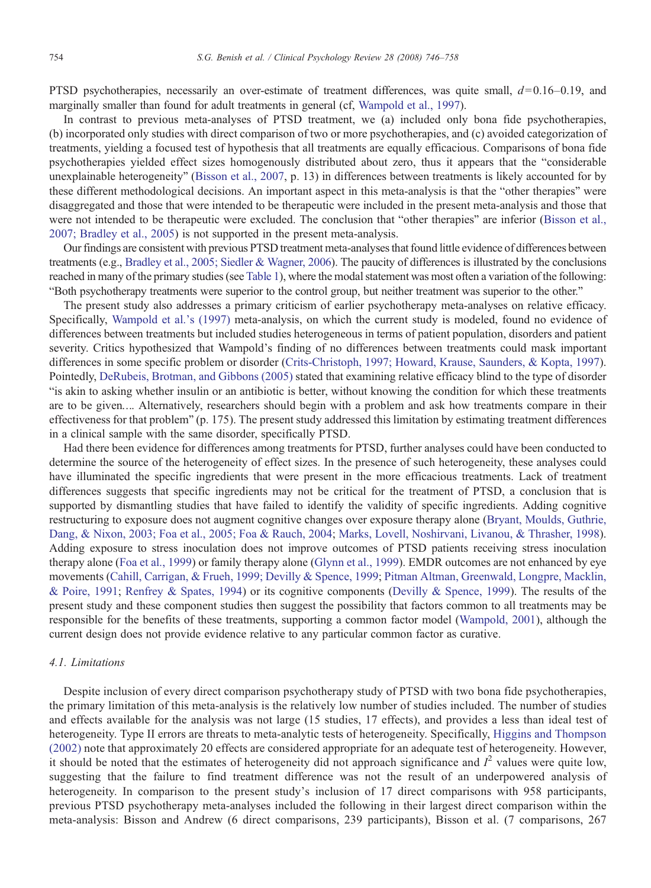PTSD psychotherapies, necessarily an over-estimate of treatment differences, was quite small,  $d=0.16-0.19$ , and marginally smaller than found for adult treatments in general (cf, [Wampold et al., 1997\)](#page-12-0).

In contrast to previous meta-analyses of PTSD treatment, we (a) included only bona fide psychotherapies, (b) incorporated only studies with direct comparison of two or more psychotherapies, and (c) avoided categorization of treatments, yielding a focused test of hypothesis that all treatments are equally efficacious. Comparisons of bona fide psychotherapies yielded effect sizes homogenously distributed about zero, thus it appears that the "considerable unexplainable heterogeneity" [\(Bisson et al., 2007,](#page-10-0) p. 13) in differences between treatments is likely accounted for by these different methodological decisions. An important aspect in this meta-analysis is that the "other therapies" were disaggregated and those that were intended to be therapeutic were included in the present meta-analysis and those that were not intended to be therapeutic were excluded. The conclusion that "other therapies" are inferior ([Bisson et al.,](#page-10-0) [2007; Bradley et al., 2005](#page-10-0)) is not supported in the present meta-analysis.

Our findings are consistent with previous PTSD treatment meta-analyses that found little evidence of differences between treatments (e.g., [Bradley et al., 2005; Siedler & Wagner, 2006](#page-10-0)). The paucity of differences is illustrated by the conclusions reached in many of the primary studies (see [Table 1\)](#page-5-0), where the modal statement was most often a variation of the following: "Both psychotherapy treatments were superior to the control group, but neither treatment was superior to the other."

The present study also addresses a primary criticism of earlier psychotherapy meta-analyses on relative efficacy. Specifically, [Wampold et al.'s \(1997\)](#page-12-0) meta-analysis, on which the current study is modeled, found no evidence of differences between treatments but included studies heterogeneous in terms of patient population, disorders and patient severity. Critics hypothesized that Wampold's finding of no differences between treatments could mask important differences in some specific problem or disorder ([Crits-Christoph, 1997; Howard, Krause, Saunders, & Kopta, 1997\)](#page-10-0). Pointedly, [DeRubeis, Brotman, and Gibbons \(2005\)](#page-10-0) stated that examining relative efficacy blind to the type of disorder "is akin to asking whether insulin or an antibiotic is better, without knowing the condition for which these treatments are to be given…. Alternatively, researchers should begin with a problem and ask how treatments compare in their effectiveness for that problem" (p. 175). The present study addressed this limitation by estimating treatment differences in a clinical sample with the same disorder, specifically PTSD.

Had there been evidence for differences among treatments for PTSD, further analyses could have been conducted to determine the source of the heterogeneity of effect sizes. In the presence of such heterogeneity, these analyses could have illuminated the specific ingredients that were present in the more efficacious treatments. Lack of treatment differences suggests that specific ingredients may not be critical for the treatment of PTSD, a conclusion that is supported by dismantling studies that have failed to identify the validity of specific ingredients. Adding cognitive restructuring to exposure does not augment cognitive changes over exposure therapy alone [\(Bryant, Moulds, Guthrie,](#page-10-0) [Dang, & Nixon, 2003; Foa et al., 2005; Foa & Rauch, 2004](#page-10-0); [Marks, Lovell, Noshirvani, Livanou, & Thrasher, 1998\)](#page-11-0). Adding exposure to stress inoculation does not improve outcomes of PTSD patients receiving stress inoculation therapy alone ([Foa et al., 1999](#page-10-0)) or family therapy alone [\(Glynn et al., 1999\)](#page-10-0). EMDR outcomes are not enhanced by eye movements [\(Cahill, Carrigan, & Frueh, 1999; Devilly & Spence, 1999;](#page-10-0) [Pitman Altman, Greenwald, Longpre, Macklin,](#page-11-0) [& Poire, 1991;](#page-11-0) [Renfrey & Spates, 1994\)](#page-11-0) or its cognitive components [\(Devilly & Spence, 1999\)](#page-10-0). The results of the present study and these component studies then suggest the possibility that factors common to all treatments may be responsible for the benefits of these treatments, supporting a common factor model [\(Wampold, 2001](#page-12-0)), although the current design does not provide evidence relative to any particular common factor as curative.

# 4.1. Limitations

Despite inclusion of every direct comparison psychotherapy study of PTSD with two bona fide psychotherapies, the primary limitation of this meta-analysis is the relatively low number of studies included. The number of studies and effects available for the analysis was not large (15 studies, 17 effects), and provides a less than ideal test of heterogeneity. Type II errors are threats to meta-analytic tests of heterogeneity. Specifically, [Higgins and Thompson](#page-11-0) [\(2002\)](#page-11-0) note that approximately 20 effects are considered appropriate for an adequate test of heterogeneity. However, it should be noted that the estimates of heterogeneity did not approach significance and  $I^2$  values were quite low, suggesting that the failure to find treatment difference was not the result of an underpowered analysis of heterogeneity. In comparison to the present study's inclusion of 17 direct comparisons with 958 participants, previous PTSD psychotherapy meta-analyses included the following in their largest direct comparison within the meta-analysis: Bisson and Andrew (6 direct comparisons, 239 participants), Bisson et al. (7 comparisons, 267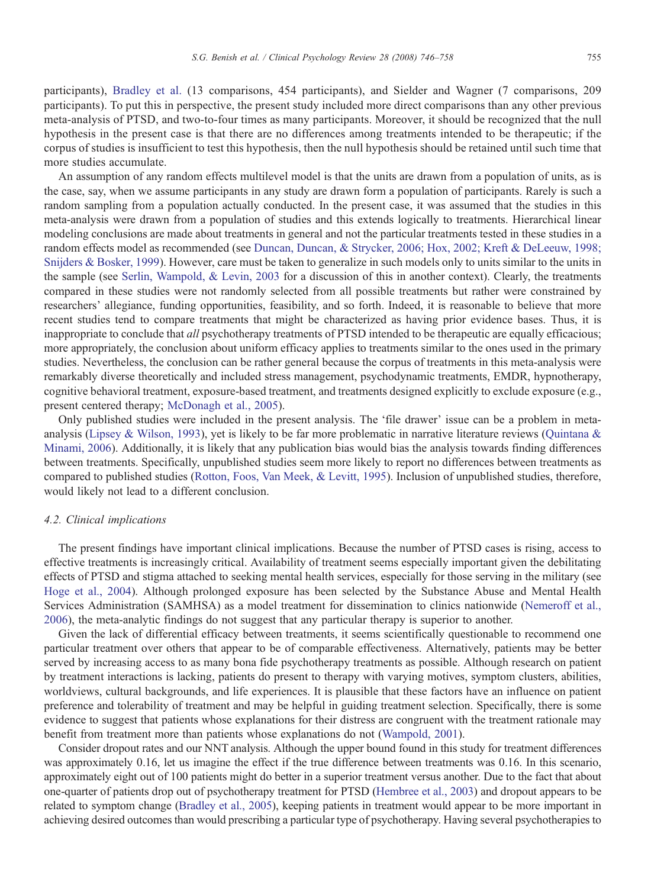participants), [Bradley et al.](#page-10-0) (13 comparisons, 454 participants), and Sielder and Wagner (7 comparisons, 209 participants). To put this in perspective, the present study included more direct comparisons than any other previous meta-analysis of PTSD, and two-to-four times as many participants. Moreover, it should be recognized that the null hypothesis in the present case is that there are no differences among treatments intended to be therapeutic; if the corpus of studies is insufficient to test this hypothesis, then the null hypothesis should be retained until such time that more studies accumulate.

An assumption of any random effects multilevel model is that the units are drawn from a population of units, as is the case, say, when we assume participants in any study are drawn form a population of participants. Rarely is such a random sampling from a population actually conducted. In the present case, it was assumed that the studies in this meta-analysis were drawn from a population of studies and this extends logically to treatments. Hierarchical linear modeling conclusions are made about treatments in general and not the particular treatments tested in these studies in a random effects model as recommended (see [Duncan, Duncan, & Strycker, 2006; Hox, 2002; Kreft & DeLeeuw, 1998;](#page-10-0) [Snijders & Bosker, 1999](#page-10-0)). However, care must be taken to generalize in such models only to units similar to the units in the sample (see [Serlin, Wampold, & Levin, 2003](#page-11-0) for a discussion of this in another context). Clearly, the treatments compared in these studies were not randomly selected from all possible treatments but rather were constrained by researchers' allegiance, funding opportunities, feasibility, and so forth. Indeed, it is reasonable to believe that more recent studies tend to compare treatments that might be characterized as having prior evidence bases. Thus, it is inappropriate to conclude that all psychotherapy treatments of PTSD intended to be therapeutic are equally efficacious; more appropriately, the conclusion about uniform efficacy applies to treatments similar to the ones used in the primary studies. Nevertheless, the conclusion can be rather general because the corpus of treatments in this meta-analysis were remarkably diverse theoretically and included stress management, psychodynamic treatments, EMDR, hypnotherapy, cognitive behavioral treatment, exposure-based treatment, and treatments designed explicitly to exclude exposure (e.g., present centered therapy; [McDonagh et al., 2005\)](#page-11-0).

Only published studies were included in the present analysis. The 'file drawer' issue can be a problem in metaanalysis ([Lipsey & Wilson, 1993\)](#page-11-0), yet is likely to be far more problematic in narrative literature reviews [\(Quintana &](#page-11-0) [Minami, 2006](#page-11-0)). Additionally, it is likely that any publication bias would bias the analysis towards finding differences between treatments. Specifically, unpublished studies seem more likely to report no differences between treatments as compared to published studies ([Rotton, Foos, Van Meek, & Levitt, 1995](#page-11-0)). Inclusion of unpublished studies, therefore, would likely not lead to a different conclusion.

## 4.2. Clinical implications

The present findings have important clinical implications. Because the number of PTSD cases is rising, access to effective treatments is increasingly critical. Availability of treatment seems especially important given the debilitating effects of PTSD and stigma attached to seeking mental health services, especially for those serving in the military (see [Hoge et al., 2004\)](#page-11-0). Although prolonged exposure has been selected by the Substance Abuse and Mental Health Services Administration (SAMHSA) as a model treatment for dissemination to clinics nationwide [\(Nemeroff et al.,](#page-11-0) [2006\)](#page-11-0), the meta-analytic findings do not suggest that any particular therapy is superior to another.

Given the lack of differential efficacy between treatments, it seems scientifically questionable to recommend one particular treatment over others that appear to be of comparable effectiveness. Alternatively, patients may be better served by increasing access to as many bona fide psychotherapy treatments as possible. Although research on patient by treatment interactions is lacking, patients do present to therapy with varying motives, symptom clusters, abilities, worldviews, cultural backgrounds, and life experiences. It is plausible that these factors have an influence on patient preference and tolerability of treatment and may be helpful in guiding treatment selection. Specifically, there is some evidence to suggest that patients whose explanations for their distress are congruent with the treatment rationale may benefit from treatment more than patients whose explanations do not ([Wampold, 2001](#page-12-0)).

Consider dropout rates and our NNT analysis. Although the upper bound found in this study for treatment differences was approximately 0.16, let us imagine the effect if the true difference between treatments was 0.16. In this scenario, approximately eight out of 100 patients might do better in a superior treatment versus another. Due to the fact that about one-quarter of patients drop out of psychotherapy treatment for PTSD ([Hembree et al., 2003](#page-11-0)) and dropout appears to be related to symptom change ([Bradley et al., 2005\)](#page-10-0), keeping patients in treatment would appear to be more important in achieving desired outcomes than would prescribing a particular type of psychotherapy. Having several psychotherapies to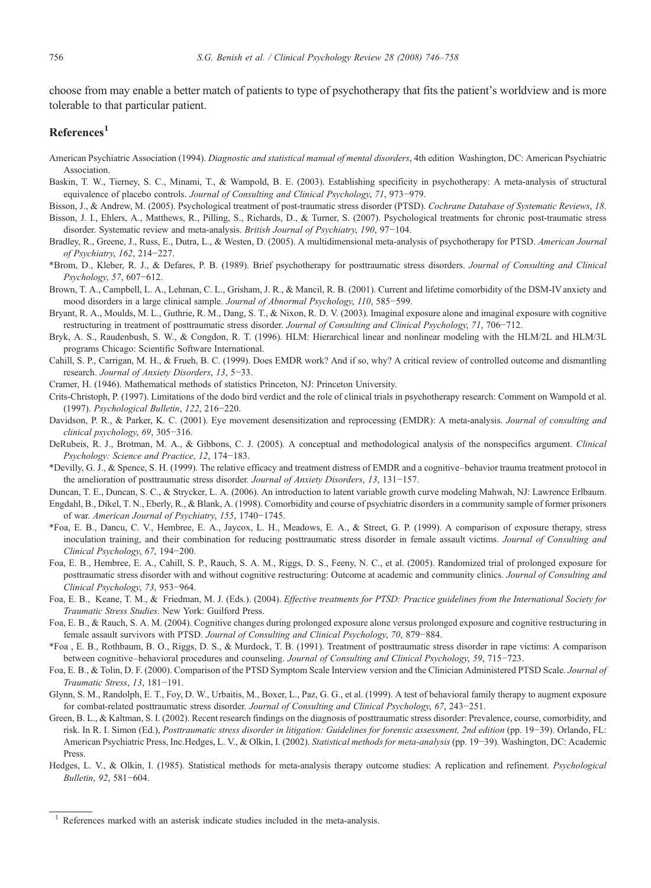<span id="page-10-0"></span>choose from may enable a better match of patients to type of psychotherapy that fits the patient's worldview and is more tolerable to that particular patient.

# $References<sup>1</sup>$

- American Psychiatric Association (1994). Diagnostic and statistical manual of mental disorders, 4th edition Washington, DC: American Psychiatric Association.
- Baskin, T. W., Tierney, S. C., Minami, T., & Wampold, B. E. (2003). Establishing specificity in psychotherapy: A meta-analysis of structural equivalence of placebo controls. Journal of Consulting and Clinical Psychology, 71, 973–979.
- Bisson, J., & Andrew, M. (2005). Psychological treatment of post-traumatic stress disorder (PTSD). Cochrane Database of Systematic Reviews, 18.
- Bisson, J. I., Ehlers, A., Matthews, R., Pilling, S., Richards, D., & Turner, S. (2007). Psychological treatments for chronic post-traumatic stress disorder. Systematic review and meta-analysis. British Journal of Psychiatry, 190, 97−104.
- Bradley, R., Greene, J., Russ, E., Dutra, L., & Westen, D. (2005). A multidimensional meta-analysis of psychotherapy for PTSD. American Journal of Psychiatry, 162, 214−227.
- \*Brom, D., Kleber, R. J., & Defares, P. B. (1989). Brief psychotherapy for posttraumatic stress disorders. Journal of Consulting and Clinical Psychology, 57, 607−612.
- Brown, T. A., Campbell, L. A., Lehman, C. L., Grisham, J. R., & Mancil, R. B. (2001). Current and lifetime comorbidity of the DSM-IV anxiety and mood disorders in a large clinical sample. Journal of Abnormal Psychology, 110, 585−599.
- Bryant, R. A., Moulds, M. L., Guthrie, R. M., Dang, S. T., & Nixon, R. D. V. (2003). Imaginal exposure alone and imaginal exposure with cognitive restructuring in treatment of posttraumatic stress disorder. Journal of Consulting and Clinical Psychology, 71, 706−712.
- Bryk, A. S., Raudenbush, S. W., & Congdon, R. T. (1996). HLM: Hierarchical linear and nonlinear modeling with the HLM/2L and HLM/3L programs Chicago: Scientific Software International.
- Cahill, S. P., Carrigan, M. H., & Frueh, B. C. (1999). Does EMDR work? And if so, why? A critical review of controlled outcome and dismantling research. Journal of Anxiety Disorders, 13, 5−33.
- Cramer, H. (1946). Mathematical methods of statistics Princeton, NJ: Princeton University.
- Crits-Christoph, P. (1997). Limitations of the dodo bird verdict and the role of clinical trials in psychotherapy research: Comment on Wampold et al. (1997). Psychological Bulletin, 122, 216−220.
- Davidson, P. R., & Parker, K. C. (2001). Eye movement desensitization and reprocessing (EMDR): A meta-analysis. Journal of consulting and clinical psychology, 69, 305−316.
- DeRubeis, R. J., Brotman, M. A., & Gibbons, C. J. (2005). A conceptual and methodological analysis of the nonspecifics argument. Clinical Psychology: Science and Practice, 12, 174−183.
- \*Devilly, G. J., & Spence, S. H. (1999). The relative efficacy and treatment distress of EMDR and a cognitive–behavior trauma treatment protocol in the amelioration of posttraumatic stress disorder. Journal of Anxiety Disorders, 13, 131−157.
- Duncan, T. E., Duncan, S. C., & Strycker, L. A. (2006). An introduction to latent variable growth curve modeling Mahwah, NJ: Lawrence Erlbaum.
- Engdahl, B., Dikel, T. N., Eberly, R., & Blank, A. (1998). Comorbidity and course of psychiatric disorders in a community sample of former prisoners of war. American Journal of Psychiatry, 155, 1740−1745.
- \*Foa, E. B., Dancu, C. V., Hembree, E. A., Jaycox, L. H., Meadows, E. A., & Street, G. P. (1999). A comparison of exposure therapy, stress inoculation training, and their combination for reducing posttraumatic stress disorder in female assault victims. Journal of Consulting and Clinical Psychology, 67, 194−200.
- Foa, E. B., Hembree, E. A., Cahill, S. P., Rauch, S. A. M., Riggs, D. S., Feeny, N. C., et al. (2005). Randomized trial of prolonged exposure for posttraumatic stress disorder with and without cognitive restructuring: Outcome at academic and community clinics. Journal of Consulting and Clinical Psychology, 73, 953−964.
- Foa, E. B., Keane, T. M., & Friedman, M. J. (Eds.). (2004). Effective treatments for PTSD: Practice guidelines from the International Society for Traumatic Stress Studies. New York: Guilford Press.
- Foa, E. B., & Rauch, S. A. M. (2004). Cognitive changes during prolonged exposure alone versus prolonged exposure and cognitive restructuring in female assault survivors with PTSD. Journal of Consulting and Clinical Psychology, 70, 879−884.
- \*Foa , E. B., Rothbaum, B. O., Riggs, D. S., & Murdock, T. B. (1991). Treatment of posttraumatic stress disorder in rape victims: A comparison between cognitive–behavioral procedures and counseling. Journal of Consulting and Clinical Psychology, 59, 715−723.
- Foa, E. B., & Tolin, D. F. (2000). Comparison of the PTSD Symptom Scale Interview version and the Clinician Administered PTSD Scale. Journal of Traumatic Stress, 13, 181−191.
- Glynn, S. M., Randolph, E. T., Foy, D. W., Urbaitis, M., Boxer, L., Paz, G. G., et al. (1999). A test of behavioral family therapy to augment exposure for combat-related posttraumatic stress disorder. Journal of Consulting and Clinical Psychology, 67, 243−251.
- Green, B. L., & Kaltman, S. I. (2002). Recent research findings on the diagnosis of posttraumatic stress disorder: Prevalence, course, comorbidity, and risk. In R. I. Simon (Ed.), Posttraumatic stress disorder in litigation: Guidelines for forensic assessment, 2nd edition (pp. 19−39). Orlando, FL: American Psychiatric Press, Inc.Hedges, L. V., & Olkin, I. (2002). Statistical methods for meta-analysis (pp. 19−39). Washington, DC: Academic Press.
- Hedges, L. V., & Olkin, I. (1985). Statistical methods for meta-analysis therapy outcome studies: A replication and refinement. Psychological Bulletin, 92, 581−604.

 $<sup>1</sup>$  References marked with an asterisk indicate studies included in the meta-analysis.</sup>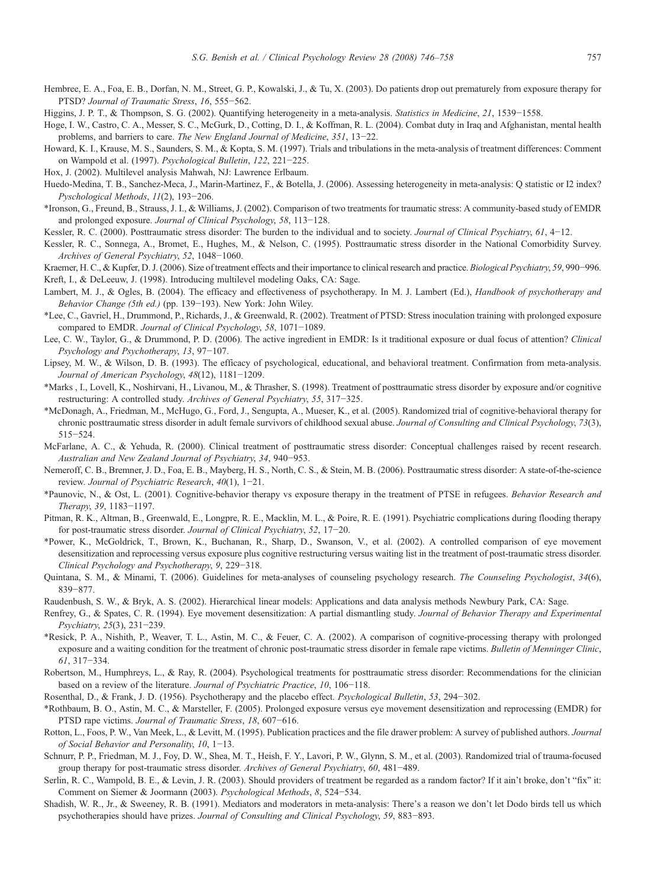- <span id="page-11-0"></span>Hembree, E. A., Foa, E. B., Dorfan, N. M., Street, G. P., Kowalski, J., & Tu, X. (2003). Do patients drop out prematurely from exposure therapy for PTSD? Journal of Traumatic Stress, 16, 555−562.
- Higgins, J. P. T., & Thompson, S. G. (2002). Quantifying heterogeneity in a meta-analysis. Statistics in Medicine, 21, 1539−1558.
- Hoge, I. W., Castro, C. A., Messer, S. C., McGurk, D., Cotting, D. I., & Koffman, R. L. (2004). Combat duty in Iraq and Afghanistan, mental health problems, and barriers to care. The New England Journal of Medicine, 351, 13−22.
- Howard, K. I., Krause, M. S., Saunders, S. M., & Kopta, S. M. (1997). Trials and tribulations in the meta-analysis of treatment differences: Comment on Wampold et al. (1997). Psychological Bulletin, 122, 221−225.
- Hox, J. (2002). Multilevel analysis Mahwah, NJ: Lawrence Erlbaum.
- Huedo-Medina, T. B., Sanchez-Meca, J., Marin-Martinez, F., & Botella, J. (2006). Assessing heterogeneity in meta-analysis: Q statistic or I2 index? Pyschological Methods, 11(2), 193−206.
- \*Ironson, G., Freund, B., Strauss, J. I., & Williams, J. (2002). Comparison of two treatments for traumatic stress: A community-based study of EMDR and prolonged exposure. Journal of Clinical Psychology, 58, 113−128.
- Kessler, R. C. (2000). Posttraumatic stress disorder: The burden to the individual and to society. Journal of Clinical Psychiatry, 61, 4−12.
- Kessler, R. C., Sonnega, A., Bromet, E., Hughes, M., & Nelson, C. (1995). Posttraumatic stress disorder in the National Comorbidity Survey. Archives of General Psychiatry, 52, 1048−1060.
- Kraemer, H. C., & Kupfer, D. J. (2006). Size of treatment effects and their importance to clinical research and practice. Biological Psychiatry, 59, 990−996. Kreft, I., & DeLeeuw, J. (1998). Introducing multilevel modeling Oaks, CA: Sage.
- Lambert, M. J., & Ogles, B. (2004). The efficacy and effectiveness of psychotherapy. In M. J. Lambert (Ed.), Handbook of psychotherapy and Behavior Change (5th ed.) (pp. 139−193). New York: John Wiley.
- \*Lee, C., Gavriel, H., Drummond, P., Richards, J., & Greenwald, R. (2002). Treatment of PTSD: Stress inoculation training with prolonged exposure compared to EMDR. Journal of Clinical Psychology, 58, 1071−1089.
- Lee, C. W., Taylor, G., & Drummond, P. D. (2006). The active ingredient in EMDR: Is it traditional exposure or dual focus of attention? Clinical Psychology and Psychotherapy, 13, 97−107.
- Lipsey, M. W., & Wilson, D. B. (1993). The efficacy of psychological, educational, and behavioral treatment. Confirmation from meta-analysis. Journal of American Psychology, 48(12), 1181−1209.
- \*Marks , I., Lovell, K., Noshirvani, H., Livanou, M., & Thrasher, S. (1998). Treatment of posttraumatic stress disorder by exposure and/or cognitive restructuring: A controlled study. Archives of General Psychiatry, 55, 317−325.
- \*McDonagh, A., Friedman, M., McHugo, G., Ford, J., Sengupta, A., Mueser, K., et al. (2005). Randomized trial of cognitive-behavioral therapy for chronic posttraumatic stress disorder in adult female survivors of childhood sexual abuse. Journal of Consulting and Clinical Psychology, 73(3), 515−524.
- McFarlane, A. C., & Yehuda, R. (2000). Clinical treatment of posttraumatic stress disorder: Conceptual challenges raised by recent research. Australian and New Zealand Journal of Psychiatry, 34, 940−953.
- Nemeroff, C. B., Bremner, J. D., Foa, E. B., Mayberg, H. S., North, C. S., & Stein, M. B. (2006). Posttraumatic stress disorder: A state-of-the-science review. Journal of Psychiatric Research, 40(1), 1−21.
- \*Paunovic, N., & Ost, L. (2001). Cognitive-behavior therapy vs exposure therapy in the treatment of PTSE in refugees. Behavior Research and Therapy, 39, 1183−1197.
- Pitman, R. K., Altman, B., Greenwald, E., Longpre, R. E., Macklin, M. L., & Poire, R. E. (1991). Psychiatric complications during flooding therapy for post-traumatic stress disorder. Journal of Clinical Psychiatry, 52, 17−20.
- \*Power, K., McGoldrick, T., Brown, K., Buchanan, R., Sharp, D., Swanson, V., et al. (2002). A controlled comparison of eye movement desensitization and reprocessing versus exposure plus cognitive restructuring versus waiting list in the treatment of post-traumatic stress disorder. Clinical Psychology and Psychotherapy, 9, 229−318.
- Quintana, S. M., & Minami, T. (2006). Guidelines for meta-analyses of counseling psychology research. The Counseling Psychologist, 34(6), 839−877.
- Raudenbush, S. W., & Bryk, A. S. (2002). Hierarchical linear models: Applications and data analysis methods Newbury Park, CA: Sage.
- Renfrey, G., & Spates, C. R. (1994). Eye movement desensitization: A partial dismantling study. Journal of Behavior Therapy and Experimental Psychiatry, 25(3), 231−239.
- \*Resick, P. A., Nishith, P., Weaver, T. L., Astin, M. C., & Feuer, C. A. (2002). A comparison of cognitive-processing therapy with prolonged exposure and a waiting condition for the treatment of chronic post-traumatic stress disorder in female rape victims. Bulletin of Menninger Clinic, 61, 317−334.
- Robertson, M., Humphreys, L., & Ray, R. (2004). Psychological treatments for posttraumatic stress disorder: Recommendations for the clinician based on a review of the literature. Journal of Psychiatric Practice, 10, 106−118.
- Rosenthal, D., & Frank, J. D. (1956). Psychotherapy and the placebo effect. Psychological Bulletin, 53, 294−302.
- \*Rothbaum, B. O., Astin, M. C., & Marsteller, F. (2005). Prolonged exposure versus eye movement desensitization and reprocessing (EMDR) for PTSD rape victims. Journal of Traumatic Stress, 18, 607−616.
- Rotton, L., Foos, P. W., Van Meek, L., & Levitt, M. (1995). Publication practices and the file drawer problem: A survey of published authors. Journal of Social Behavior and Personality, 10, 1−13.
- Schnurr, P. P., Friedman, M. J., Foy, D. W., Shea, M. T., Heish, F. Y., Lavori, P. W., Glynn, S. M., et al. (2003). Randomized trial of trauma-focused group therapy for post-traumatic stress disorder. Archives of General Psychiatry, 60, 481−489.
- Serlin, R. C., Wampold, B. E., & Levin, J. R. (2003). Should providers of treatment be regarded as a random factor? If it ain't broke, don't "fix" it: Comment on Siemer & Joormann (2003). Psychological Methods, 8, 524−534.
- Shadish, W. R., Jr., & Sweeney, R. B. (1991). Mediators and moderators in meta-analysis: There's a reason we don't let Dodo birds tell us which psychotherapies should have prizes. Journal of Consulting and Clinical Psychology, 59, 883−893.